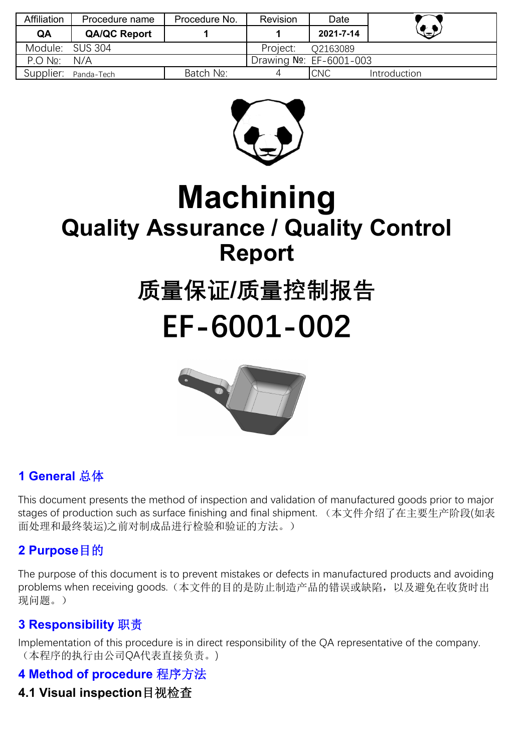| Affiliation     | Procedure name      | Procedure No. | <b>Revision</b>         | Date       |              |
|-----------------|---------------------|---------------|-------------------------|------------|--------------|
| QA              | <b>QA/QC Report</b> |               |                         | 2021-7-14  | $\bigoplus$  |
| Module: SUS 304 |                     |               | Project:                | O2163089   |              |
| $PO$ No:        | N/A                 |               | Drawing No: EF-6001-003 |            |              |
| Supplier:       | Panda-Tech          | Batch No:     |                         | <b>CNC</b> | Introduction |



# **Machining Quality Assurance / Quality Control Report**

# **质量保证/质量控制报告 EF-6001-002**



## **1 General** 总体

This document presents the method of inspection and validation of manufactured goods prior to major stages of production such as surface finishing and final shipment. (本文件介绍了在主要生产阶段(如表 面处理和最终装运)之前对制成品进行检验和验证的方法。)

## **2 Purpose**目的

The purpose of this document is to prevent mistakes or defects in manufactured products and avoiding problems when receiving goods.(本文件的目的是防止制造产品的错误或缺陷,以及避免在收货时出 现问题。)

## **3 Responsibility** 职责

Implementation of this procedure is in direct responsibility of the QA representative of the company. (本程序的执行由公司QA代表直接负责。)

## **4 Method of procedure** 程序方法

## **4.1 Visual inspection**目视检查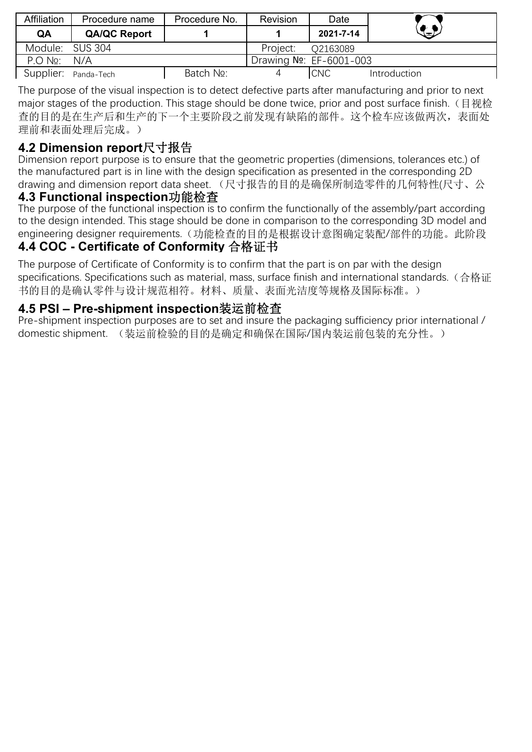| <b>Affiliation</b>   | Procedure name      | Procedure No. | <b>Revision</b>         | Date       |              |
|----------------------|---------------------|---------------|-------------------------|------------|--------------|
| QA                   | <b>QA/QC Report</b> |               |                         | 2021-7-14  | $\bigoplus$  |
| Module: SUS 304      |                     |               | Project:                | O2163089   |              |
| $P \cap N_2$         | N/A                 |               | Drawing No: EF-6001-003 |            |              |
| Supplier: Panda-Tech |                     | Batch No:     |                         | <b>CNC</b> | Introduction |

The purpose of the visual inspection is to detect defective parts after manufacturing and prior to next major stages of the production. This stage should be done twice, prior and post surface finish. (目视检 查的目的是在生产后和生产的下一个主要阶段之前发现有缺陷的部件。这个检车应该做两次,表面处 理前和表面处理后完成。)

## **4.2 Dimension report**尺寸报告

Dimension report purpose is to ensure that the geometric properties (dimensions, tolerances etc.) of the manufactured part is in line with the design specification as presented in the corresponding 2D drawing and dimension report data sheet. (尺寸报告的目的是确保所制造零件的几何特性(尺寸、公

### **4.3 Functional inspection**功能检查

The purpose of the functional inspection is to confirm the functionally of the assembly/part according to the design intended. This stage should be done in comparison to the corresponding 3D model and engineering designer requirements.(功能检查的目的是根据设计意图确定装配/部件的功能。此阶段

## **4.4 COC - Certificate of Conformity** 合格证书

The purpose of Certificate of Conformity is to confirm that the part is on par with the design specifications. Specifications such as material, mass, surface finish and international standards. (合格证 书的目的是确认零件与设计规范相符。材料、质量、表面光洁度等规格及国际标准。)

## **4.5 PSI – Pre-shipment inspection**装运前检查

Pre-shipment inspection purposes are to set and insure the packaging sufficiency prior international / domestic shipment. (装运前检验的目的是确定和确保在国际/国内装运前包装的充分性。)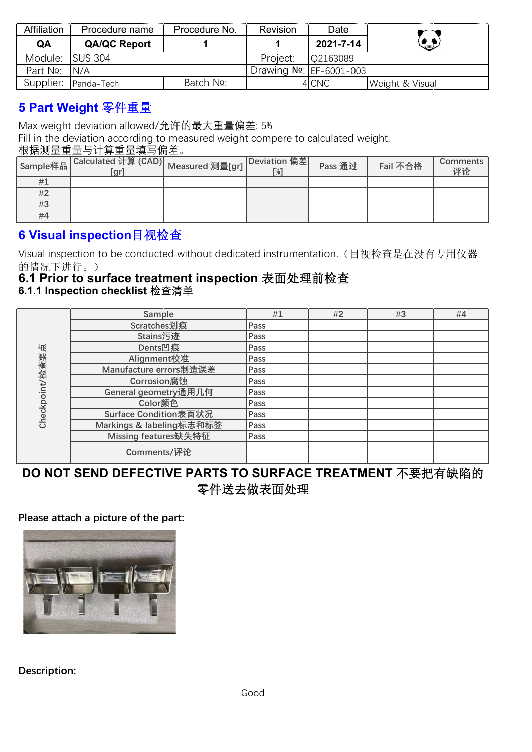| Affiliation      | Procedure name       | Procedure No. | <b>Revision</b>         | Date      |                 |
|------------------|----------------------|---------------|-------------------------|-----------|-----------------|
| QA               | <b>QA/QC Report</b>  |               |                         | 2021-7-14 | $\bigoplus$     |
| Module: ISUS 304 |                      |               | Project:                | O2163089  |                 |
| Part No: N/A     |                      |               | Drawing No: EF-6001-003 |           |                 |
|                  | Supplier: Panda-Tech | Batch No:     |                         | 4 CNC     | Weight & Visual |

## **5 Part Weight** 零件重量

Max weight deviation allowed/允许的最大重量偏差: 5%

Fill in the deviation according to measured weight compere to calculated weight.

### 根据测量重量与计算重量填写偏差。

| Sample样品 | <sub>그</sub>  Calculated 计算 (CAD)   <sub>Measured</sub> 测量[gr] <sup>  D'</sup><br>[gr] | Deviation 偏差<br>$\lceil\% \rceil$ | Pass 通过 | Fail 不合格 | Comments  <br>评论 |
|----------|----------------------------------------------------------------------------------------|-----------------------------------|---------|----------|------------------|
| #1       |                                                                                        |                                   |         |          |                  |
| #2       |                                                                                        |                                   |         |          |                  |
| #3       |                                                                                        |                                   |         |          |                  |
| #4       |                                                                                        |                                   |         |          |                  |

## **6 Visual inspection**目视检查

Visual inspection to be conducted without dedicated instrumentation.(目视检查是在没有专用仪器 的情况下进行。)

#### **6.1 Prior to surface treatment inspection** 表面处理前检查 **6.1.1 Inspection checklist** 检查清单

|                | Sample                   | #1   | #2 | #3 | #4 |
|----------------|--------------------------|------|----|----|----|
|                | Scratches划痕              | Pass |    |    |    |
|                | Stains污迹                 | Pass |    |    |    |
| 屯              | Dents凹痕                  | Pass |    |    |    |
|                | Alignment校准              | Pass |    |    |    |
| Checkpoint/检查要 | Manufacture errors制造误差   | Pass |    |    |    |
|                | Corrosion腐蚀              | Pass |    |    |    |
|                | General geometry通用几何     | Pass |    |    |    |
|                | Color颜色                  | Pass |    |    |    |
|                | Surface Condition表面状况    | Pass |    |    |    |
|                | Markings & labeling标志和标签 | Pass |    |    |    |
|                | Missing features缺失特征     | Pass |    |    |    |
|                | Comments/评论              |      |    |    |    |

## **DO NOT SEND DEFECTIVE PARTS TO SURFACE TREATMENT** 不要把有缺陷的 零件送去做表面处理

#### **Please attach a picture of the part:**



**Description:**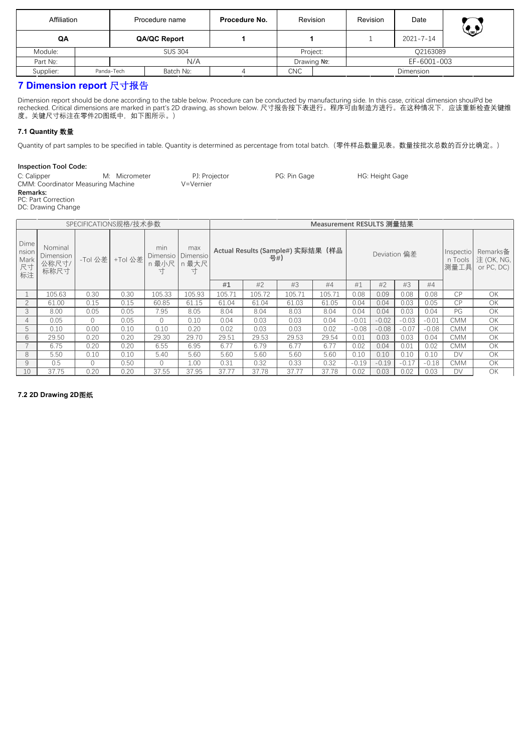| Affiliation |  |            | Procedure name | Procedure No. | Revision   |                            | Revision | Date            | $\mathbf{C}$ |
|-------------|--|------------|----------------|---------------|------------|----------------------------|----------|-----------------|--------------|
| QA          |  |            | QA/QC Report   |               |            |                            |          | $2021 - 7 - 14$ |              |
| Module:     |  |            | <b>SUS 304</b> |               |            | Project:                   |          | Q2163089        |              |
| Part No:    |  |            | N/A            |               |            | EF-6001-003<br>Drawing No: |          |                 |              |
| Supplier:   |  | Panda-Tech | Batch No:      |               | <b>CNC</b> | Dimension                  |          |                 |              |

#### **7 Dimension report** 尺寸报告

Dimension report should be done according to the table below. Procedure can be conducted by manufacturing side. In this case, critical dimension shoulPd be rechecked. Critical dimensions are marked in part's 2D drawing, as shown below. 尺寸报告按下表进行。程序可由制造方进行。在这种情况下,应该重新检查关键维 度。关键尺寸标注在零件2D图纸中,如下图所示。)

#### **7.1 Quantity** 数量

Quantity of part samples to be specified in table. Quantity is determined as percentage from total batch.(零件样品数量见表。数量按批次总数的百分比确定。)

#### **Inspection Tool Code:**

| C: Calipper                               | M: Micrometer | PJ: Projector | PG: Pin Gage | HG: Height Gage |
|-------------------------------------------|---------------|---------------|--------------|-----------------|
| <b>CMM: Coordinator Measuring Machine</b> |               | V=Vernier     |              |                 |
| <b>Remarks:</b>                           |               |               |              |                 |
| PC: Part Correction                       |               |               |              |                 |

DC: Drawing Change

| SPECIFICATIONS规格/技术参数             |                                       |          |         |                                          |                   |                                          |        |        | Measurement RESULTS 测量结果 |         |         |              |         |                              |                                      |
|-----------------------------------|---------------------------------------|----------|---------|------------------------------------------|-------------------|------------------------------------------|--------|--------|--------------------------|---------|---------|--------------|---------|------------------------------|--------------------------------------|
| Dime<br>nsion<br>Mark<br>尺寸<br>标注 | Nominal<br>Dimension<br>公称尺寸/<br>标称尺寸 | -Tol 公差  | +Tol 公差 | min<br>Dimensio   Dimensio<br>n 最小尺<br>ᆉ | max<br>n 最大尺<br>ᆉ | Actual Results (Sample#) 实际结果 (样品<br>号#) |        |        |                          |         |         | Deviation 偏差 |         | Inspectio<br>n Tools<br>测量工具 | Remarks备<br>注 (OK, NG,<br>or PC, DC) |
|                                   |                                       |          |         |                                          |                   | #1                                       | #2     | #3     | #4                       | #1      | #2      | #3           | #4      |                              |                                      |
|                                   | 105.63                                | 0.30     | 0.30    | 105.33                                   | 105.93            | 105.71                                   | 105.72 | 105.71 | 105.71                   | 0.08    | 0.09    | 0.08         | 0.08    | <b>CP</b>                    | OK                                   |
|                                   | 61.00                                 | 0.15     | 0.15    | 60.85                                    | 61.15             | 61.04                                    | 61.04  | 61.03  | 61.05                    | 0.04    | 0.04    | 0.03         | 0.05    | CP                           | OK                                   |
|                                   | 8.00                                  | 0.05     | 0.05    | 7.95                                     | 8.05              | 8.04                                     | 8.04   | 8.03   | 8.04                     | 0.04    | 0.04    | 0.03         | 0.04    | PG                           | OK                                   |
|                                   | 0.05                                  | $\Omega$ | 0.05    |                                          | 0.10              | 0.04                                     | 0.03   | 0.03   | 0.04                     | $-0.01$ | $-0.02$ | $-0.03$      | $-0.01$ | <b>CMM</b>                   | OK                                   |
|                                   | 0.10                                  | 0.00     | 0.10    | 0.10                                     | 0.20              | 0.02                                     | 0.03   | 0.03   | 0.02                     | $-0.08$ | $-0.08$ | $-0.07$      | $-0.08$ | CMM                          | OK                                   |
| b                                 | 29.50                                 | 0.20     | 0.20    | 29.30                                    | 29.70             | 29.51                                    | 29.53  | 29.53  | 29.54                    | 0.01    | 0.03    | 0.03         | 0.04    | <b>CMM</b>                   | OK                                   |
|                                   | 6.75                                  | 0.20     | 0.20    | 6.55                                     | 6.95              | 6.77                                     | 6.79   | 6.77   | 6.77                     | 0.02    | 0.04    | 0.01         | 0.02    | CMM                          | OK                                   |
| 8                                 | 5.50                                  | 0.10     | 0.10    | 5.40                                     | 5.60              | 5.60                                     | 5.60   | 5.60   | 5.60                     | 0.10    | 0.10    | 0.10         | 0.10    | DV                           | OK                                   |
|                                   | 0.5                                   | $\Omega$ | 0.50    |                                          | 1.00              | 0.31                                     | 0.32   | 0.33   | 0.32                     | $-0.19$ | $-0.19$ | $-0.17$      | $-0.18$ | <b>CMM</b>                   | OK                                   |
| 10                                | 37.75                                 | 0.20     | 0.20    | 37.55                                    | 37.95             | 37.77                                    | 37.78  | 37.77  | 37.78                    | 0.02    | 0.03    | 0.02         | 0.03    | DV                           | OK                                   |

#### **7.2 2D Drawing 2D**图纸